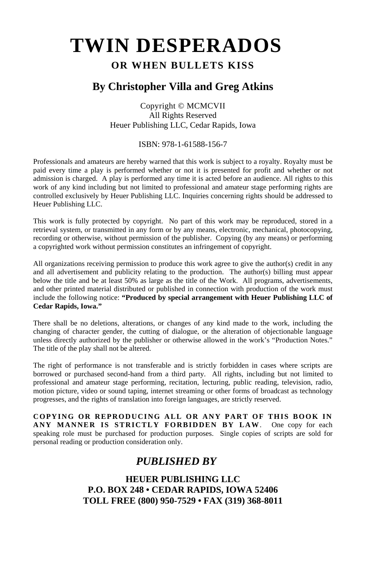# **TWIN DESPERADOS**

# **OR WHEN BULLETS KISS**

# **By Christopher Villa and Greg Atkins**

Copyright © MCMCVII All Rights Reserved Heuer Publishing LLC, Cedar Rapids, Iowa

#### ISBN: 978-1-61588-156-7

Professionals and amateurs are hereby warned that this work is subject to a royalty. Royalty must be paid every time a play is performed whether or not it is presented for profit and whether or not admission is charged. A play is performed any time it is acted before an audience. All rights to this work of any kind including but not limited to professional and amateur stage performing rights are controlled exclusively by Heuer Publishing LLC. Inquiries concerning rights should be addressed to Heuer Publishing LLC.

This work is fully protected by copyright. No part of this work may be reproduced, stored in a retrieval system, or transmitted in any form or by any means, electronic, mechanical, photocopying, recording or otherwise, without permission of the publisher. Copying (by any means) or performing a copyrighted work without permission constitutes an infringement of copyright.

All organizations receiving permission to produce this work agree to give the author(s) credit in any and all advertisement and publicity relating to the production. The author(s) billing must appear below the title and be at least 50% as large as the title of the Work. All programs, advertisements, and other printed material distributed or published in connection with production of the work must include the following notice: **"Produced by special arrangement with Heuer Publishing LLC of Cedar Rapids, Iowa."**

There shall be no deletions, alterations, or changes of any kind made to the work, including the changing of character gender, the cutting of dialogue, or the alteration of objectionable language unless directly authorized by the publisher or otherwise allowed in the work's "Production Notes." The title of the play shall not be altered.

The right of performance is not transferable and is strictly forbidden in cases where scripts are borrowed or purchased second-hand from a third party. All rights, including but not limited to professional and amateur stage performing, recitation, lecturing, public reading, television, radio, motion picture, video or sound taping, internet streaming or other forms of broadcast as technology progresses, and the rights of translation into foreign languages, are strictly reserved.

**COPYING OR REPRODUCING ALL OR ANY PART OF THIS BOOK IN ANY MANNER IS STRICTLY FORBIDDEN BY LAW**. One copy for each speaking role must be purchased for production purposes. Single copies of scripts are sold for personal reading or production consideration only.

# *PUBLISHED BY*

**HEUER PUBLISHING LLC P.O. BOX 248 • CEDAR RAPIDS, IOWA 52406 TOLL FREE (800) 950-7529 • FAX (319) 368-8011**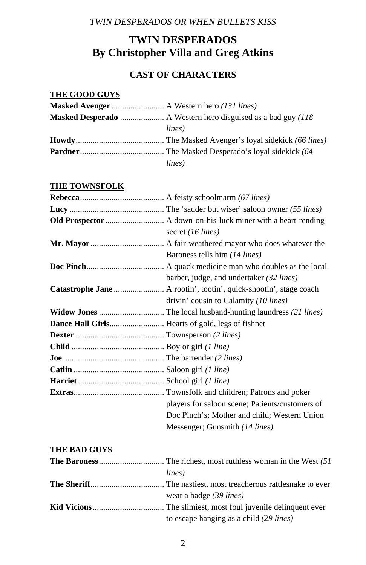# **TWIN DESPERADOS By Christopher Villa and Greg Atkins**

# **CAST OF CHARACTERS**

# **THE GOOD GUYS**

| lines) |
|--------|
|        |
|        |
| lines) |

### **THE TOWNSFOLK**

| secret (16 lines)                               |
|-------------------------------------------------|
|                                                 |
| Baroness tells him (14 lines)                   |
|                                                 |
| barber, judge, and undertaker (32 lines)        |
|                                                 |
| drivin' cousin to Calamity (10 lines)           |
|                                                 |
|                                                 |
|                                                 |
|                                                 |
|                                                 |
|                                                 |
|                                                 |
|                                                 |
| players for saloon scene; Patients/customers of |
| Doc Pinch's; Mother and child; Western Union    |
| Messenger; Gunsmith (14 lines)                  |

# **THE BAD GUYS**

| lines)                                  |
|-----------------------------------------|
|                                         |
| wear a badge (39 lines)                 |
|                                         |
| to escape hanging as a child (29 lines) |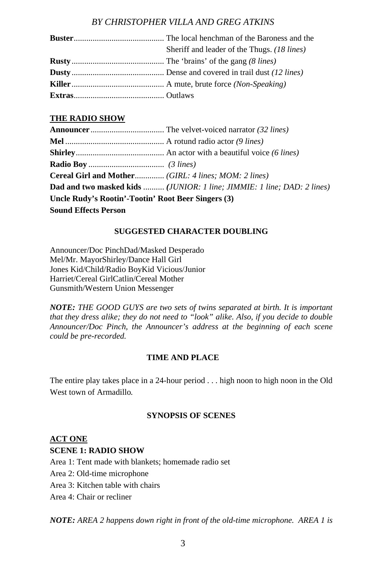| Sheriff and leader of the Thugs. (18 lines) |
|---------------------------------------------|
|                                             |
|                                             |
|                                             |
|                                             |

#### **THE RADIO SHOW**

|                                                    | <b>Dad and two masked kids  (JUNIOR: 1 line; JIMMIE: 1 line; DAD: 2 lines)</b> |
|----------------------------------------------------|--------------------------------------------------------------------------------|
| Uncle Rudy's Rootin'-Tootin' Root Beer Singers (3) |                                                                                |
| <b>Sound Effects Person</b>                        |                                                                                |

#### **SUGGESTED CHARACTER DOUBLING**

Announcer/Doc PinchDad/Masked Desperado Mel/Mr. Mayor Shirley/Dance Hall Girl Jones Kid/Child/Radio BoyKid Vicious/Junior Harriet/Cereal GirlCatlin/Cereal Mother Gunsmith/Western Union Messenger

*NOTE: THE GOOD GUYS are two sets of twins separated at birth. It is important that they dress alike; they do not need to "look" alike. Also, if you decide to double Announcer/Doc Pinch, the Announcer's address at the beginning of each scene could be pre-recorded.* 

#### **TIME AND PLACE**

The entire play takes place in a 24-hour period . . . high noon to high noon in the Old West town of Armadillo*.* 

#### **SYNOPSIS OF SCENES**

#### **ACT ONE**

#### **SCENE 1: RADIO SHOW**

Area 1: Tent made with blankets; homemade radio set

- Area 2: Old-time microphone
- Area 3: Kitchen table with chairs
- Area 4: Chair or recliner

*NOTE: AREA 2 happens down right in front of the old-time microphone. AREA 1 is*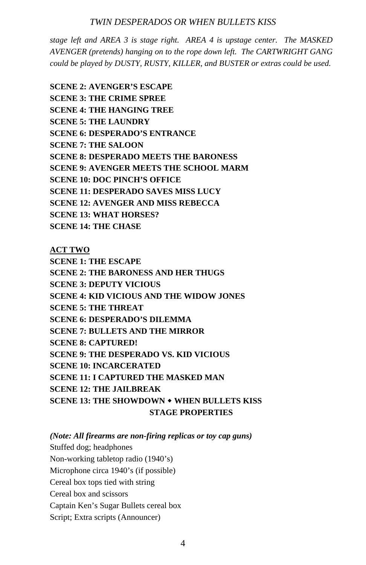*stage left and AREA 3 is stage right. AREA 4 is upstage center. The MASKED AVENGER (pretends) hanging on to the rope down left. The CARTWRIGHT GANG could be played by DUSTY, RUSTY, KILLER, and BUSTER or extras could be used.* 

**SCENE 2: AVENGER'S ESCAPE SCENE 3: THE CRIME SPREE SCENE 4: THE HANGING TREE SCENE 5: THE LAUNDRY SCENE 6: DESPERADO'S ENTRANCE SCENE 7: THE SALOON SCENE 8: DESPERADO MEETS THE BARONESS SCENE 9: AVENGER MEETS THE SCHOOL MARM SCENE 10: DOC PINCH'S OFFICE SCENE 11: DESPERADO SAVES MISS LUCY SCENE 12: AVENGER AND MISS REBECCA SCENE 13: WHAT HORSES? SCENE 14: THE CHASE** 

**ACT TWO**

**SCENE 1: THE ESCAPE SCENE 2: THE BARONESS AND HER THUGS SCENE 3: DEPUTY VICIOUS SCENE 4: KID VICIOUS AND THE WIDOW JONES SCENE 5: THE THREAT SCENE 6: DESPERADO'S DILEMMA SCENE 7: BULLETS AND THE MIRROR SCENE 8: CAPTURED! SCENE 9: THE DESPERADO VS. KID VICIOUS SCENE 10: INCARCERATED SCENE 11: I CAPTURED THE MASKED MAN SCENE 12: THE JAILBREAK SCENE 13: THE SHOWDOWN WHEN BULLETS KISS STAGE PROPERTIES** 

*(Note: All firearms are non-firing replicas or toy cap guns)* 

Stuffed dog; headphones

Non-working tabletop radio (1940's)

Microphone circa 1940's (if possible)

Cereal box tops tied with string

Cereal box and scissors

Captain Ken's Sugar Bullets cereal box

Script; Extra scripts (Announcer)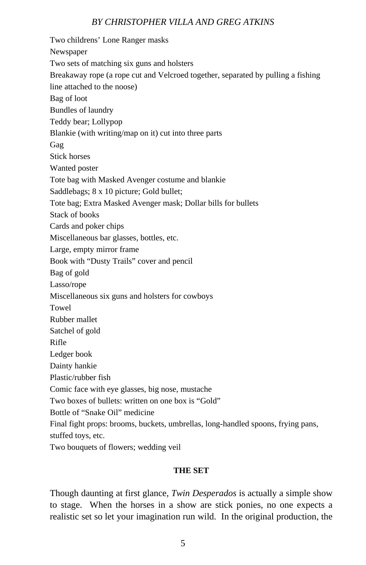Two childrens' Lone Ranger masks Newspaper Two sets of matching six guns and holsters Breakaway rope (a rope cut and Velcroed together, separated by pulling a fishing line attached to the noose) Bag of loot Bundles of laundry Teddy bear; Lollypop Blankie (with writing/map on it) cut into three parts Gag Stick horses Wanted poster Tote bag with Masked Avenger costume and blankie Saddlebags; 8 x 10 picture; Gold bullet; Tote bag; Extra Masked Avenger mask; Dollar bills for bullets Stack of books Cards and poker chips Miscellaneous bar glasses, bottles, etc. Large, empty mirror frame Book with "Dusty Trails" cover and pencil Bag of gold Lasso/rope Miscellaneous six guns and holsters for cowboys Towel Rubber mallet Satchel of gold Rifle Ledger book Dainty hankie Plastic/rubber fish Comic face with eye glasses, big nose, mustache Two boxes of bullets: written on one box is "Gold" Bottle of "Snake Oil" medicine Final fight props: brooms, buckets, umbrellas, long-handled spoons, frying pans, stuffed toys, etc.

Two bouquets of flowers; wedding veil

#### **THE SET**

Though daunting at first glance, *Twin Desperados* is actually a simple show to stage. When the horses in a show are stick ponies, no one expects a realistic set so let your imagination run wild. In the original production, the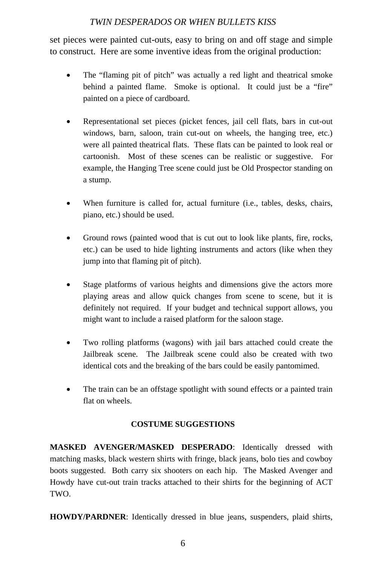set pieces were painted cut-outs, easy to bring on and off stage and simple to construct. Here are some inventive ideas from the original production:

- The "flaming pit of pitch" was actually a red light and theatrical smoke behind a painted flame. Smoke is optional. It could just be a "fire" painted on a piece of cardboard.
- Representational set pieces (picket fences, jail cell flats, bars in cut-out windows, barn, saloon, train cut-out on wheels, the hanging tree, etc.) were all painted theatrical flats. These flats can be painted to look real or cartoonish. Most of these scenes can be realistic or suggestive. For example, the Hanging Tree scene could just be Old Prospector standing on a stump.
- When furniture is called for, actual furniture (i.e., tables, desks, chairs, piano, etc.) should be used.
- Ground rows (painted wood that is cut out to look like plants, fire, rocks, etc.) can be used to hide lighting instruments and actors (like when they jump into that flaming pit of pitch).
- Stage platforms of various heights and dimensions give the actors more playing areas and allow quick changes from scene to scene, but it is definitely not required. If your budget and technical support allows, you might want to include a raised platform for the saloon stage.
- Two rolling platforms (wagons) with jail bars attached could create the Jailbreak scene. The Jailbreak scene could also be created with two identical cots and the breaking of the bars could be easily pantomimed.
- The train can be an offstage spotlight with sound effects or a painted train flat on wheels.

#### **COSTUME SUGGESTIONS**

**MASKED AVENGER/MASKED DESPERADO**: Identically dressed with matching masks, black western shirts with fringe, black jeans, bolo ties and cowboy boots suggested. Both carry six shooters on each hip. The Masked Avenger and Howdy have cut-out train tracks attached to their shirts for the beginning of ACT TWO.

**HOWDY/PARDNER**: Identically dressed in blue jeans, suspenders, plaid shirts,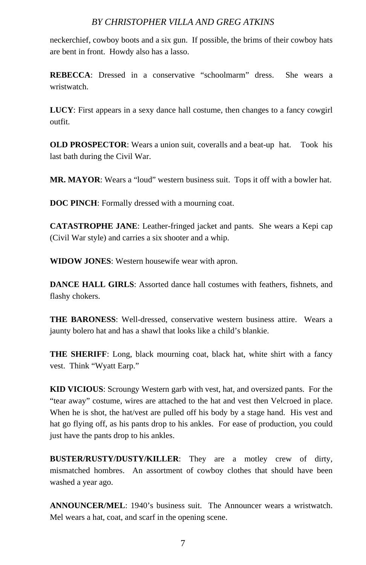neckerchief, cowboy boots and a six gun. If possible, the brims of their cowboy hats are bent in front. Howdy also has a lasso.

**REBECCA**: Dressed in a conservative "schoolmarm" dress. She wears a wristwatch.

**LUCY**: First appears in a sexy dance hall costume, then changes to a fancy cowgirl outfit.

**OLD PROSPECTOR:** Wears a union suit, coveralls and a beat-up hat. Took his last bath during the Civil War.

**MR. MAYOR**: Wears a "loud" western business suit. Tops it off with a bowler hat.

**DOC PINCH**: Formally dressed with a mourning coat.

**CATASTROPHE JANE**: Leather-fringed jacket and pants. She wears a Kepi cap (Civil War style) and carries a six shooter and a whip.

**WIDOW JONES**: Western housewife wear with apron.

**DANCE HALL GIRLS**: Assorted dance hall costumes with feathers, fishnets, and flashy chokers.

**THE BARONESS**: Well-dressed, conservative western business attire. Wears a jaunty bolero hat and has a shawl that looks like a child's blankie.

**THE SHERIFF**: Long, black mourning coat, black hat, white shirt with a fancy vest. Think "Wyatt Earp."

**KID VICIOUS**: Scroungy Western garb with vest, hat, and oversized pants. For the "tear away" costume, wires are attached to the hat and vest then Velcroed in place. When he is shot, the hat/vest are pulled off his body by a stage hand. His vest and hat go flying off, as his pants drop to his ankles. For ease of production, you could just have the pants drop to his ankles.

**BUSTER/RUSTY/DUSTY/KILLER**: They are a motley crew of dirty, mismatched hombres. An assortment of cowboy clothes that should have been washed a year ago.

**ANNOUNCER/MEL**: 1940's business suit. The Announcer wears a wristwatch. Mel wears a hat, coat, and scarf in the opening scene.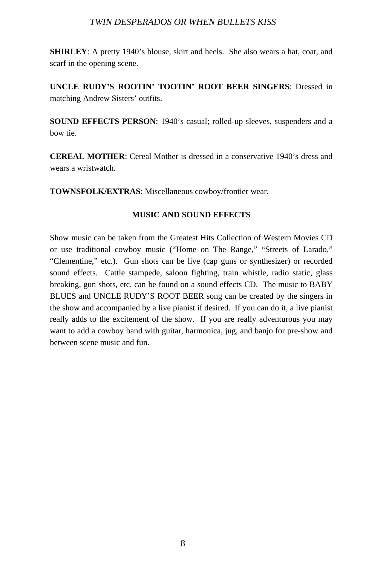**SHIRLEY**: A pretty 1940's blouse, skirt and heels. She also wears a hat, coat, and scarf in the opening scene.

**UNCLE RUDY'S ROOTIN' TOOTIN' ROOT BEER SINGERS**: Dressed in matching Andrew Sisters' outfits.

**SOUND EFFECTS PERSON**: 1940's casual; rolled-up sleeves, suspenders and a bow tie.

**CEREAL MOTHER**: Cereal Mother is dressed in a conservative 1940's dress and wears a wristwatch.

**TOWNSFOLK/EXTRAS**: Miscellaneous cowboy/frontier wear.

#### **MUSIC AND SOUND EFFECTS**

Show music can be taken from the Greatest Hits Collection of Western Movies CD or use traditional cowboy music ("Home on The Range," "Streets of Larado," "Clementine," etc.). Gun shots can be live (cap guns or synthesizer) or recorded sound effects. Cattle stampede, saloon fighting, train whistle, radio static, glass breaking, gun shots, etc. can be found on a sound effects CD. The music to BABY BLUES and UNCLE RUDY'S ROOT BEER song can be created by the singers in the show and accompanied by a live pianist if desired. If you can do it, a live pianist really adds to the excitement of the show. If you are really adventurous you may want to add a cowboy band with guitar, harmonica, jug, and banjo for pre-show and between scene music and fun.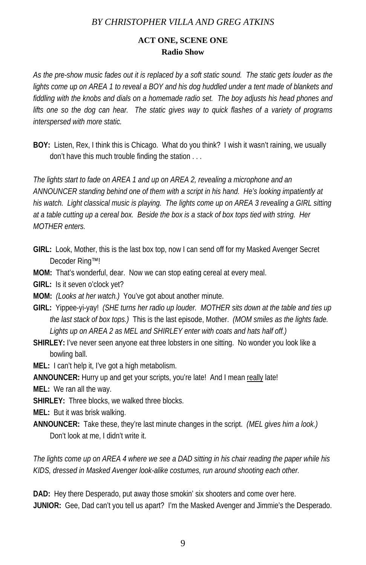### **ACT ONE, SCENE ONE Radio Show**

*As the pre-show music fades out it is replaced by a soft static sound. The static gets louder as the*  lights come up on AREA 1 to reveal a BOY and his dog huddled under a tent made of blankets and *fiddling with the knobs and dials on a homemade radio set. The boy adjusts his head phones and lifts one so the dog can hear. The static gives way to quick flashes of a variety of programs interspersed with more static.*

**BOY:** Listen, Rex, I think this is Chicago. What do you think? I wish it wasn't raining, we usually don't have this much trouble finding the station . . .

*The lights start to fade on AREA 1 and up on AREA 2, revealing a microphone and an ANNOUNCER standing behind one of them with a script in his hand. He's looking impatiently at his watch. Light classical music is playing. The lights come up on AREA 3 revealing a GIRL sitting at a table cutting up a cereal box. Beside the box is a stack of box tops tied with string. Her MOTHER enters.* 

- **GIRL:** Look, Mother, this is the last box top, now I can send off for my Masked Avenger Secret Decoder Ring™!
- **MOM:** That's wonderful, dear. Now we can stop eating cereal at every meal.
- **GIRL:** Is it seven o'clock yet?
- **MOM:** *(Looks at her watch.)* You've got about another minute.
- **GIRL:** Yippee-yi-yay! *(SHE turns her radio up louder. MOTHER sits down at the table and ties up the last stack of box tops.)* This is the last episode, Mother. *(MOM smiles as the lights fade. Lights up on AREA 2 as MEL and SHIRLEY enter with coats and hats half off.)*
- **SHIRLEY:** I've never seen anyone eat three lobsters in one sitting. No wonder you look like a bowling ball.
- **MEL:** I can't help it, I've got a high metabolism.
- **ANNOUNCER:** Hurry up and get your scripts, you're late! And I mean really late!
- **MEL:** We ran all the way.
- **SHIRLEY:** Three blocks, we walked three blocks.
- **MEL:** But it was brisk walking.
- **ANNOUNCER:** Take these, they're last minute changes in the script. *(MEL gives him a look.)* Don't look at me, I didn't write it.

*The lights come up on AREA 4 where we see a DAD sitting in his chair reading the paper while his KIDS, dressed in Masked Avenger look-alike costumes, run around shooting each other.* 

**DAD:** Hey there Desperado, put away those smokin' six shooters and come over here. **JUNIOR:** Gee, Dad can't you tell us apart? I'm the Masked Avenger and Jimmie's the Desperado.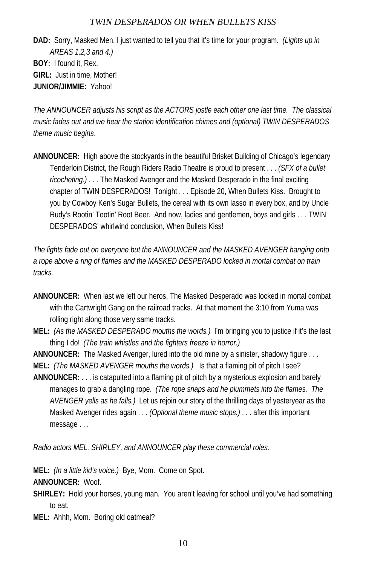**DAD:** Sorry, Masked Men, I just wanted to tell you that it's time for your program. *(Lights up in AREAS 1,2,3 and 4.)*  **BOY:** I found it, Rex. **GIRL:** Just in time, Mother! **JUNIOR/JIMMIE:** Yahoo!

*The ANNOUNCER adjusts his script as the ACTORS jostle each other one last time. The classical music fades out and we hear the station identification chimes and (optional) TWIN DESPERADOS theme music begins*.

**ANNOUNCER:** High above the stockyards in the beautiful Brisket Building of Chicago's legendary Tenderloin District, the Rough Riders Radio Theatre is proud to present . . . *(SFX of a bullet ricocheting.)* . . . The Masked Avenger and the Masked Desperado in the final exciting chapter of TWIN DESPERADOS! Tonight . . . Episode 20, When Bullets Kiss. Brought to you by Cowboy Ken's Sugar Bullets, the cereal with its own lasso in every box, and by Uncle Rudy's Rootin' Tootin' Root Beer. And now, ladies and gentlemen, boys and girls . . . TWIN DESPERADOS' whirlwind conclusion, When Bullets Kiss!

*The lights fade out on everyone but the ANNOUNCER and the MASKED AVENGER hanging onto a rope above a ring of flames and the MASKED DESPERADO locked in mortal combat on train tracks.*

- **ANNOUNCER:** When last we left our heros, The Masked Desperado was locked in mortal combat with the Cartwright Gang on the railroad tracks. At that moment the 3:10 from Yuma was rolling right along those very same tracks.
- **MEL:** *(As the MASKED DESPERADO mouths the words.)* I'm bringing you to justice if it's the last thing I do! *(The train whistles and the fighters freeze in horror.)*
- **ANNOUNCER:** The Masked Avenger, lured into the old mine by a sinister, shadowy figure . . . **MEL:** *(The MASKED AVENGER mouths the words.)* Is that a flaming pit of pitch I see?
- **ANNOUNCER:** . . . is catapulted into a flaming pit of pitch by a mysterious explosion and barely manages to grab a dangling rope. *(The rope snaps and he plummets into the flames. The AVENGER yells as he falls.)* Let us rejoin our story of the thrilling days of yesteryear as the Masked Avenger rides again . . . *(Optional theme music stops.)* . . . after this important

message . . .

*Radio actors MEL, SHIRLEY, and ANNOUNCER play these commercial roles.* 

**MEL:** *(In a little kid's voice.)* Bye, Mom. Come on Spot.

**ANNOUNCER:** Woof.

- **SHIRLEY:** Hold your horses, young man. You aren't leaving for school until you've had something to eat.
- **MEL:** Ahhh, Mom. Boring old oatmeal?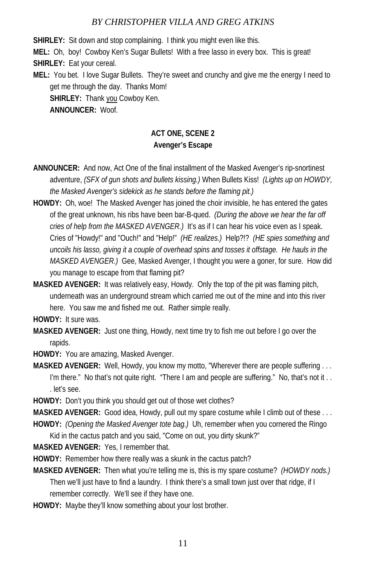**SHIRLEY:** Sit down and stop complaining. I think you might even like this.

**MEL:** Oh, boy! Cowboy Ken's Sugar Bullets! With a free lasso in every box. This is great!

**SHIRLEY:** Eat your cereal.

**MEL:** You bet. I love Sugar Bullets. They're sweet and crunchy and give me the energy I need to get me through the day. Thanks Mom! **SHIRLEY:** Thank you Cowboy Ken. **ANNOUNCER:** Woof.

# **ACT ONE, SCENE 2 Avenger's Escape**

- **ANNOUNCER:** And now, Act One of the final installment of the Masked Avenger's rip-snortinest adventure, *(SFX of gun shots and bullets kissing.)* When Bullets Kiss! *(Lights up on HOWDY, the Masked Avenger's sidekick as he stands before the flaming pit.)*
- **HOWDY:** Oh, woe! The Masked Avenger has joined the choir invisible, he has entered the gates of the great unknown, his ribs have been bar-B-qued. *(During the above we hear the far off cries of help from the MASKED AVENGER.)* It's as if I can hear his voice even as I speak. Cries of "Howdy!" and "Ouch!" and "Help!" *(HE realizes.)* Help?!? *(HE spies something and uncoils his lasso, giving it a couple of overhead spins and tosses it offstage. He hauls in the MASKED AVENGER.)* Gee, Masked Avenger, I thought you were a goner, for sure. How did you manage to escape from that flaming pit?
- **MASKED AVENGER:** It was relatively easy, Howdy. Only the top of the pit was flaming pitch, underneath was an underground stream which carried me out of the mine and into this river here. You saw me and fished me out. Rather simple really.

**HOWDY:** It sure was.

- **MASKED AVENGER:** Just one thing, Howdy, next time try to fish me out before I go over the rapids.
- **HOWDY:** You are amazing, Masked Avenger.
- **MASKED AVENGER:** Well, Howdy, you know my motto, "Wherever there are people suffering . . . I'm there." No that's not quite right. "There I am and people are suffering." No, that's not it.. . let's see.
- **HOWDY:** Don't you think you should get out of those wet clothes?

**MASKED AVENGER:** Good idea, Howdy, pull out my spare costume while I climb out of these . . . **HOWDY:** *(Opening the Masked Avenger tote bag.)* Uh, remember when you cornered the Ringo

- Kid in the cactus patch and you said, "Come on out, you dirty skunk?"
- **MASKED AVENGER:** Yes, I remember that.
- **HOWDY:** Remember how there really was a skunk in the cactus patch?
- **MASKED AVENGER:** Then what you're telling me is, this is my spare costume? *(HOWDY nods.)* Then we'll just have to find a laundry. I think there's a small town just over that ridge, if I remember correctly. We'll see if they have one.
- **HOWDY:** Maybe they'll know something about your lost brother.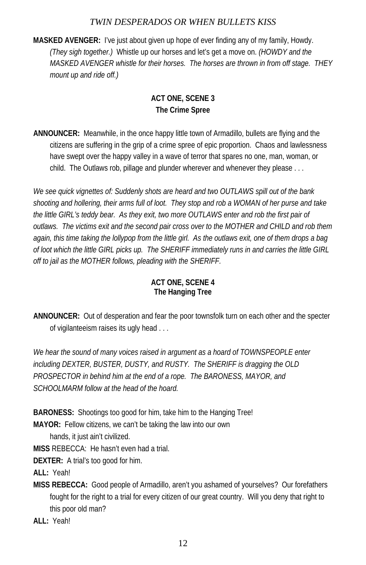**MASKED AVENGER:** I've just about given up hope of ever finding any of my family, Howdy. *(They sigh together.)* Whistle up our horses and let's get a move on. *(HOWDY and the MASKED AVENGER whistle for their horses. The horses are thrown in from off stage. THEY mount up and ride off.)* 

# **ACT ONE, SCENE 3 The Crime Spree**

**ANNOUNCER:** Meanwhile, in the once happy little town of Armadillo, bullets are flying and the citizens are suffering in the grip of a crime spree of epic proportion. Chaos and lawlessness have swept over the happy valley in a wave of terror that spares no one, man, woman, or child. The Outlaws rob, pillage and plunder wherever and whenever they please . . .

*We see quick vignettes of: Suddenly shots are heard and two OUTLAWS spill out of the bank shooting and hollering, their arms full of loot. They stop and rob a WOMAN of her purse and take the little GIRL's teddy bear. As they exit, two more OUTLAWS enter and rob the first pair of outlaws. The victims exit and the second pair cross over to the MOTHER and CHILD and rob them again, this time taking the lollypop from the little girl. As the outlaws exit, one of them drops a bag of loot which the little GIRL picks up. The SHERIFF immediately runs in and carries the little GIRL off to jail as the MOTHER follows, pleading with the SHERIFF.* 

# **ACT ONE, SCENE 4 The Hanging Tree**

**ANNOUNCER:** Out of desperation and fear the poor townsfolk turn on each other and the specter of vigilanteeism raises its ugly head . . .

We hear the sound of many voices raised in argument as a hoard of TOWNSPEOPLE enter *including DEXTER, BUSTER, DUSTY, and RUSTY. The SHERIFF is dragging the OLD PROSPECTOR in behind him at the end of a rope. The BARONESS, MAYOR, and SCHOOLMARM follow at the head of the hoard.* 

**BARONESS:** Shootings too good for him, take him to the Hanging Tree!

**MAYOR:** Fellow citizens, we can't be taking the law into our own

hands, it just ain't civilized.

**MISS** REBECCA: He hasn't even had a trial.

**DEXTER:** A trial's too good for him.

**ALL:** Yeah!

**MISS REBECCA:** Good people of Armadillo, aren't you ashamed of yourselves? Our forefathers fought for the right to a trial for every citizen of our great country. Will you deny that right to this poor old man?

**ALL:** Yeah!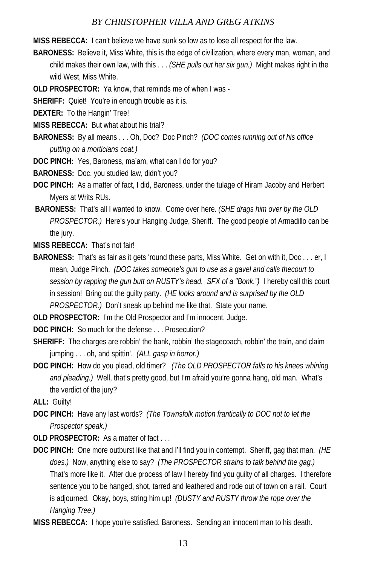**MISS REBECCA:** I can't believe we have sunk so low as to lose all respect for the law.

- **BARONESS:** Believe it, Miss White, this is the edge of civilization, where every man, woman, and child makes their own law, with this . . . *(SHE pulls out her six gun.)* Might makes right in the wild West, Miss White.
- **OLD PROSPECTOR:** Ya know, that reminds me of when I was -
- **SHERIFF:** Quiet! You're in enough trouble as it is.
- **DEXTER:** To the Hangin' Tree!
- **MISS REBECCA:** But what about his trial?
- **BARONESS:** By all means . . . Oh, Doc? Doc Pinch? *(DOC comes running out of his office putting on a morticians coat.)*
- **DOC PINCH:** Yes, Baroness, ma'am, what can I do for you?
- **BARONESS:** Doc, you studied law, didn't you?
- **DOC PINCH:** As a matter of fact, I did, Baroness, under the tulage of Hiram Jacoby and Herbert Myers at Writs RUs.
- **BARONESS:** That's all I wanted to know. Come over here. *(SHE drags him over by the OLD PROSPECTOR.)* Here's your Hanging Judge, Sheriff. The good people of Armadillo can be the jury.
- **MISS REBECCA:** That's not fair!
- **BARONESS:** That's as fair as it gets 'round these parts, Miss White. Get on with it, Doc . . . er, I mean, Judge Pinch. *(DOC takes someone's gun to use as a gavel and calls thecourt to session by rapping the gun butt on RUSTY's head. SFX of a "Bonk.")* I hereby call this court in session! Bring out the guilty party. *(HE looks around and is surprised by the OLD PROSPECTOR.)* Don't sneak up behind me like that. State your name.

**OLD PROSPECTOR:** I'm the Old Prospector and I'm innocent, Judge.

**DOC PINCH:** So much for the defense . . . Prosecution?

- **SHERIFF:** The charges are robbin' the bank, robbin' the stagecoach, robbin' the train, and claim jumping . . . oh, and spittin'. *(ALL gasp in horror.)*
- **DOC PINCH:** How do you plead, old timer? *(The OLD PROSPECTOR falls to his knees whining and pleading.)* Well, that's pretty good, but I'm afraid you're gonna hang, old man. What's the verdict of the jury?

**ALL:** Guilty!

- **DOC PINCH:** Have any last words? *(The Townsfolk motion frantically to DOC not to let the Prospector speak.)*
- **OLD PROSPECTOR:** As a matter of fact . . .
- **DOC PINCH:** One more outburst like that and I'll find you in contempt. Sheriff, gag that man. *(HE does.)* Now, anything else to say? *(The PROSPECTOR strains to talk behind the gag.)*  That's more like it. After due process of law I hereby find you guilty of all charges. I therefore sentence you to be hanged, shot, tarred and leathered and rode out of town on a rail. Court is adjourned. Okay, boys, string him up! *(DUSTY and RUSTY throw the rope over the Hanging Tree.)*
- **MISS REBECCA:** I hope you're satisfied, Baroness. Sending an innocent man to his death.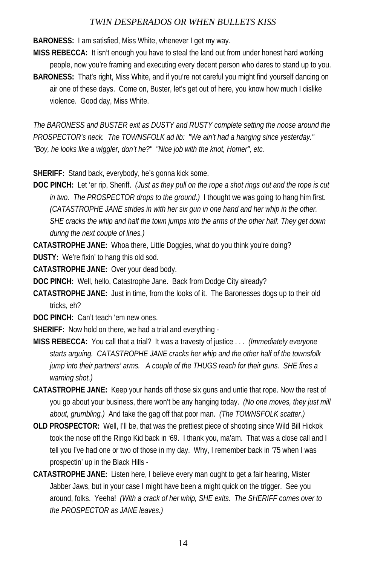**BARONESS:** I am satisfied, Miss White, whenever I get my way.

- **MISS REBECCA:** It isn't enough you have to steal the land out from under honest hard working people, now you're framing and executing every decent person who dares to stand up to you.
- **BARONESS:** That's right, Miss White, and if you're not careful you might find yourself dancing on air one of these days. Come on, Buster, let's get out of here, you know how much I dislike violence. Good day, Miss White.

*The BARONESS and BUSTER exit as DUSTY and RUSTY complete setting the noose around the PROSPECTOR's neck. The TOWNSFOLK ad lib: "We ain't had a hanging since yesterday." "Boy, he looks like a wiggler, don't he?" "Nice job with the knot, Homer", etc.* 

**SHERIFF:** Stand back, everybody, he's gonna kick some.

**DOC PINCH:** Let 'er rip, Sheriff. *(Just as they pull on the rope a shot rings out and the rope is cut in two. The PROSPECTOR drops to the ground.)* I thought we was going to hang him first. *(CATASTROPHE JANE strides in with her six gun in one hand and her whip in the other. SHE cracks the whip and half the town jumps into the arms of the other half. They get down during the next couple of lines.)* 

**CATASTROPHE JANE:** Whoa there, Little Doggies, what do you think you're doing? **DUSTY:** We're fixin' to hang this old sod.

**CATASTROPHE JANE:** Over your dead body.

**DOC PINCH:** Well, hello, Catastrophe Jane. Back from Dodge City already?

**CATASTROPHE JANE:** Just in time, from the looks of it. The Baronesses dogs up to their old tricks, eh?

**DOC PINCH:** Can't teach 'em new ones.

**SHERIFF:** Now hold on there, we had a trial and everything -

- **MISS REBECCA:** You call that a trial? It was a travesty of justice . . . *(Immediately everyone starts arguing. CATASTROPHE JANE cracks her whip and the other half of the townsfolk jump into their partners' arms. A couple of the THUGS reach for their guns. SHE fires a warning shot.)*
- **CATASTROPHE JANE:** Keep your hands off those six guns and untie that rope. Now the rest of you go about your business, there won't be any hanging today. *(No one moves, they just mill about, grumbling.)* And take the gag off that poor man. *(The TOWNSFOLK scatter.)*
- **OLD PROSPECTOR:** Well, I'll be, that was the prettiest piece of shooting since Wild Bill Hickok took the nose off the Ringo Kid back in '69. I thank you, ma'am. That was a close call and I tell you I've had one or two of those in my day. Why, I remember back in '75 when I was prospectin' up in the Black Hills -
- **CATASTROPHE JANE:** Listen here, I believe every man ought to get a fair hearing, Mister Jabber Jaws, but in your case I might have been a might quick on the trigger. See you around, folks. Yeeha! *(With a crack of her whip, SHE exits. The SHERIFF comes over to the PROSPECTOR as JANE leaves.)*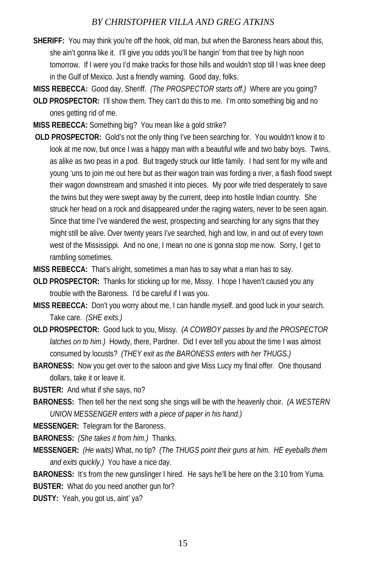- **SHERIFF:** You may think you're off the hook, old man, but when the Baroness hears about this, she ain't gonna like it. I'll give you odds you'll be hangin' from that tree by high noon tomorrow. If I were you I'd make tracks for those hills and wouldn't stop till l was knee deep in the Gulf of Mexico. Just a friendly warning. Good day, folks.
- **MISS REBECCA:** Good day, Sheriff. *(The PROSPECTOR starts off.)* Where are you going?
- **OLD PROSPECTOR:** I'll show them. They can't do this to me. I'm onto something big and no ones getting rid of me.
- **MISS REBECCA:** Something big? You mean like a gold strike?
- **OLD PROSPECTOR:** Gold's not the only thing I've been searching for. You wouldn't know it to look at me now, but once I was a happy man with a beautiful wife and two baby boys. Twins, as alike as two peas in a pod. But tragedy struck our little family. I had sent for my wife and young 'uns to join me out here but as their wagon train was fording a river, a flash flood swept their wagon downstream and smashed it into pieces. My poor wife tried desperately to save the twins but they were swept away by the current, deep into hostile Indian country. She struck her head on a rock and disappeared under the raging waters, never to be seen again. Since that time I've wandered the west, prospecting and searching for any signs that they might still be alive. Over twenty years I've searched, high and low, in and out of every town west of the Mississippi. And no one, I mean no one is gonna stop me now. Sorry, I get to rambling sometimes.
- **MISS REBECCA:** That's alright, sometimes a man has to say what a man has to say.
- **OLD PROSPECTOR:** Thanks for sticking up for me, Missy. I hope I haven't caused you any trouble with the Baroness. I'd be careful if I was you.
- **MISS REBECCA:** Don't you worry about me, I can handle myself. and good luck in your search. Take care. *(SHE exits.)*
- **OLD PROSPECTOR:** Good luck to you, Missy. *(A COWBOY passes by and the PROSPECTOR latches on to him.)* Howdy, there, Pardner. Did I ever tell you about the time I was almost consumed by locusts? *(THEY exit as the BARONESS enters with her THUGS.)*
- **BARONESS:** Now you get over to the saloon and give Miss Lucy my final offer. One thousand dollars, take it or leave it.
- **BUSTER:** And what if she says, no?
- **BARONESS:** Then tell her the next song she sings will be with the heavenly choir. *(A WESTERN UNION MESSENGER enters with a piece of paper in his hand.)*

**MESSENGER:** Telegram for the Baroness.

**BARONESS:** *(She takes it from him.)* Thanks.

**MESSENGER:** *(He waits)* What, no tip? *(The THUGS point their guns at him. HE eyeballs them and exits quickly.)* You have a nice day.

**BARONESS:** It's from the new gunslinger I hired. He says he'll be here on the 3:10 from Yuma. **BUSTER:** What do you need another gun for?

**DUSTY:** Yeah, you got us, aint' ya?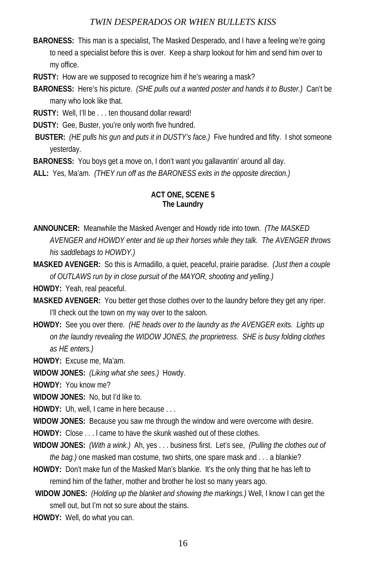**BARONESS:** This man is a specialist, The Masked Desperado, and I have a feeling we're going to need a specialist before this is over. Keep a sharp lookout for him and send him over to my office.

**RUSTY:** How are we supposed to recognize him if he's wearing a mask?

**BARONESS:** Here's his picture. *(SHE pulls out a wanted poster and hands it to Buster.)* Can't be many who look like that.

**RUSTY:** Well, I'll be . . . ten thousand dollar reward!

**DUSTY:** Gee, Buster, you're only worth five hundred.

**BUSTER:** *(HE pulls his gun and puts it in DUSTY's face.)* Five hundred and fifty. I shot someone yesterday.

**BARONESS:** You boys get a move on, I don't want you gallavantin' around all day.

**ALL:** Yes, Ma'am. *(THEY run off as the BARONESS exits in the opposite direction.)*

#### **ACT ONE, SCENE 5 The Laundry**

- **ANNOUNCER:** Meanwhile the Masked Avenger and Howdy ride into town. *(The MASKED AVENGER and HOWDY enter and tie up their horses while they talk. The AVENGER throws his saddlebags to HOWDY.)*
- **MASKED AVENGER:** So this is Armadillo, a quiet, peaceful, prairie paradise. *(Just then a couple of OUTLAWS run by in close pursuit of the MAYOR, shooting and yelling.)*

**HOWDY:** Yeah, real peaceful.

- **MASKED AVENGER:** You better get those clothes over to the laundry before they get any riper. I'll check out the town on my way over to the saloon.
- **HOWDY:** See you over there. *(HE heads over to the laundry as the AVENGER exits. Lights up on the laundry revealing the WIDOW JONES, the proprietress. SHE is busy folding clothes as HE enters.)*

**HOWDY:** Excuse me, Ma'am.

**WIDOW JONES:** *(Liking what she sees.)* Howdy.

**HOWDY:** You know me?

**WIDOW JONES:** No, but I'd like to.

**HOWDY:** Uh, well, I came in here because . . .

**WIDOW JONES:** Because you saw me through the window and were overcome with desire.

**HOWDY:** Close . . . l came to have the skunk washed out of these clothes.

- **WIDOW JONES:** *(With a wink.)* Ah, yes . . . business first. Let's see, *(Pulling the clothes out of the bag.)* one masked man costume, two shirts, one spare mask and . . . a blankie?
- **HOWDY:** Don't make fun of the Masked Man's blankie. It's the only thing that he has left to remind him of the father, mother and brother he lost so many years ago.

**WIDOW JONES:** *(Holding up the blanket and showing the markings.)* Well, I know I can get the smell out, but I'm not so sure about the stains.

**HOWDY:** Well, do what you can.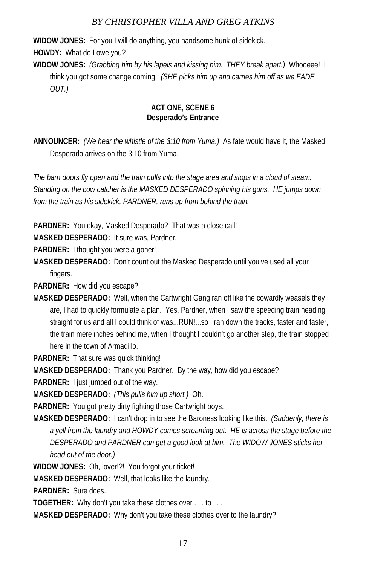**WIDOW JONES:** For you I will do anything, you handsome hunk of sidekick.

**HOWDY:** What do I owe you?

**WIDOW JONES:** *(Grabbing him by his lapels and kissing him. THEY break apart.)* Whooeee! I think you got some change coming. *(SHE picks him up and carries him off as we FADE OUT.)* 

#### **ACT ONE, SCENE 6 Desperado's Entrance**

**ANNOUNCER:** *(We hear the whistle of the 3:10 from Yuma.)* As fate would have it, the Masked Desperado arrives on the 3:10 from Yuma.

*The barn doors fly open and the train pulls into the stage area and stops in a cloud of steam. Standing on the cow catcher is the MASKED DESPERADO spinning his guns. HE jumps down from the train as his sidekick, PARDNER, runs up from behind the train.*

**PARDNER:** You okay, Masked Desperado? That was a close call!

**MASKED DESPERADO:** It sure was, Pardner.

**PARDNER:** I thought you were a goner!

**MASKED DESPERADO:** Don't count out the Masked Desperado until you've used all your fingers.

**PARDNER:** How did you escape?

**MASKED DESPERADO:** Well, when the Cartwright Gang ran off like the cowardly weasels they are, I had to quickly formulate a plan. Yes, Pardner, when I saw the speeding train heading straight for us and all I could think of was...RUN!...so I ran down the tracks, faster and faster, the train mere inches behind me, when I thought I couldn't go another step, the train stopped here in the town of Armadillo.

**PARDNER:** That sure was quick thinking!

**MASKED DESPERADO:** Thank you Pardner. By the way, how did you escape?

**PARDNER:** I just jumped out of the way.

**MASKED DESPERADO:** *(This pulls him up short.)* Oh.

**PARDNER:** You got pretty dirty fighting those Cartwright boys.

**MASKED DESPERADO:** I can't drop in to see the Baroness looking like this. *(Suddenly, there is a yell from the laundry and HOWDY comes screaming out. HE is across the stage before the DESPERADO and PARDNER can get a good look at him. The WIDOW JONES sticks her head out of the door.)* 

**WIDOW JONES:** Oh, lover!?! You forgot your ticket!

**MASKED DESPERADO:** Well, that looks like the laundry.

**PARDNER:** Sure does.

**TOGETHER:** Why don't you take these clothes over . . . to . . .

**MASKED DESPERADO:** Why don't you take these clothes over to the laundry?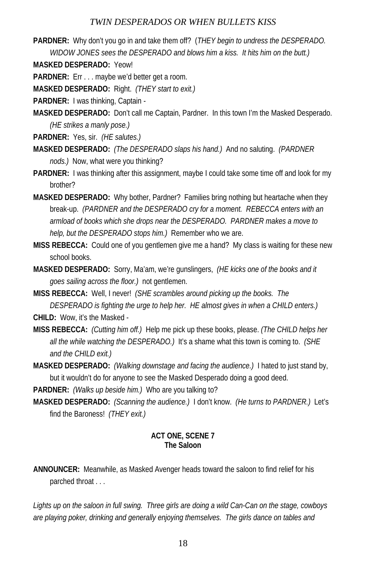**PARDNER:** Why don't you go in and take them off? (*THEY begin to undress the DESPERADO. WIDOW JONES sees the DESPERADO and blows him a kiss. It hits him on the butt.)*

**MASKED DESPERADO:** Yeow!

**PARDNER:** Err . . . maybe we'd better get a room.

**MASKED DESPERADO:** Right. *(THEY start to exit.)*

**PARDNER:** I was thinking, Captain -

**MASKED DESPERADO:** Don't call me Captain, Pardner. In this town I'm the Masked Desperado. *(HE strikes a manly pose.)* 

**PARDNER:** Yes, sir. *(HE salutes.)*

- **MASKED DESPERADO:** *(The DESPERADO slaps his hand.)* And no saluting. *(PARDNER nods.)* Now, what were you thinking?
- **PARDNER:** I was thinking after this assignment, maybe I could take some time off and look for my brother?
- **MASKED DESPERADO:** Why bother, Pardner? Families bring nothing but heartache when they break-up. *(PARDNER and the DESPERADO cry for a moment. REBECCA enters with an armload of books which she drops near the DESPERADO. PARDNER makes a move to help, but the DESPERADO stops him.)* Remember who we are.
- **MISS REBECCA:** Could one of you gentlemen give me a hand? My class is waiting for these new school books.
- **MASKED DESPERADO:** Sorry, Ma'am, we're gunslingers, *(HE kicks one of the books and it goes sailing across the floor.)* not gentlemen.
- **MISS REBECCA:** Well, I never! *(SHE scrambles around picking up the books. The DESPERADO is fighting the urge to help her. HE almost gives in when a CHILD enters.)*
- **CHILD:** Wow, it's the Masked -
- **MISS REBECCA:** *(Cutting him off.)* Help me pick up these books, please. *(The CHILD helps her all the while watching the DESPERADO.)* It's a shame what this town is coming to. *(SHE and the CHILD exit.)*
- **MASKED DESPERADO:** *(Walking downstage and facing the audience.)* I hated to just stand by, but it wouldn't do for anyone to see the Masked Desperado doing a good deed.

**PARDNER:** *(Walks up beside him.)* Who are you talking to?

**MASKED DESPERADO:** *(Scanning the audience.)* I don't know. *(He turns to PARDNER.)* Let's find the Baroness! *(THEY exit.)*

### **ACT ONE, SCENE 7 The Saloon**

**ANNOUNCER:** Meanwhile, as Masked Avenger heads toward the saloon to find relief for his parched throat . . .

*Lights up on the saloon in full swing. Three girls are doing a wild Can-Can on the stage, cowboys are playing poker, drinking and generally enjoying themselves. The girls dance on tables and*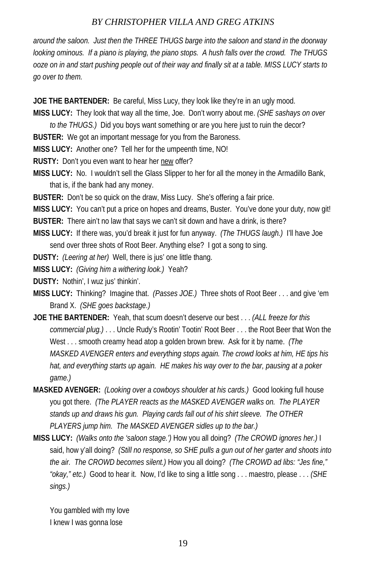*around the saloon. Just then the THREE THUGS barge into the saloon and stand in the doorway looking ominous. If a piano is playing, the piano stops. A hush falls over the crowd. The THUGS ooze on in and start pushing people out of their way and finally sit at a table. MISS LUCY starts to go over to them.*

**JOE THE BARTENDER:** Be careful, Miss Lucy, they look like they're in an ugly mood.

**MISS LUCY:** They look that way all the time, Joe. Don't worry about me. *(SHE sashays on over* 

*to the THUGS.)* Did you boys want something or are you here just to ruin the decor?

**BUSTER:** We got an important message for you from the Baroness.

**MISS LUCY:** Another one? Tell her for the umpeenth time, NO!

**RUSTY:** Don't you even want to hear her new offer?

**MISS LUCY:** No. I wouldn't sell the Glass Slipper to her for all the money in the Armadillo Bank, that is, if the bank had any money.

**BUSTER:** Don't be so quick on the draw, Miss Lucy. She's offering a fair price.

**MISS LUCY:** You can't put a price on hopes and dreams, Buster. You've done your duty, now git! **BUSTER:** There ain't no law that says we can't sit down and have a drink, is there?

**MISS LUCY:** If there was, you'd break it just for fun anyway. *(The THUGS laugh.)* I'll have Joe send over three shots of Root Beer. Anything else? I got a song to sing.

**DUSTY:** *(Leering at her)* Well, there is jus' one little thang.

**MISS LUCY:** *(Giving him a withering look.)* Yeah?

**DUSTY:** Nothin', I wuz jus' thinkin'.

- **MISS LUCY:** Thinking? Imagine that. *(Passes JOE.)* Three shots of Root Beer . . . and give 'em Brand X. *(SHE goes backstage.)*
- **JOE THE BARTENDER:** Yeah, that scum doesn't deserve our best . . . *(ALL freeze for this commercial plug.)* . . . Uncle Rudy's Rootin' Tootin' Root Beer . . . the Root Beer that Won the West . . . smooth creamy head atop a golden brown brew. Ask for it by name. *(The MASKED AVENGER enters and everything stops again. The crowd looks at him, HE tips his hat, and everything starts up again. HE makes his way over to the bar, pausing at a poker game.)*
- **MASKED AVENGER:** *(Looking over a cowboys shoulder at his cards.)* Good looking full house you got there. *(The PLAYER reacts as the MASKED AVENGER walks on. The PLAYER stands up and draws his gun. Playing cards fall out of his shirt sleeve. The OTHER PLAYERS jump him. The MASKED AVENGER sidles up to the bar.)*
- **MISS LUCY:** *(Walks onto the 'saloon stage.')* How you all doing? *(The CROWD ignores her.)* I said, how y'all doing? *(Still no response, so SHE pulls a gun out of her garter and shoots into the air. The CROWD becomes silent.)* How you all doing? *(The CROWD ad libs: "Jes fine," "okay," etc.)* Good to hear it. Now, I'd like to sing a little song . . . maestro, please . . . *(SHE sings.)*

You gambled with my love I knew I was gonna lose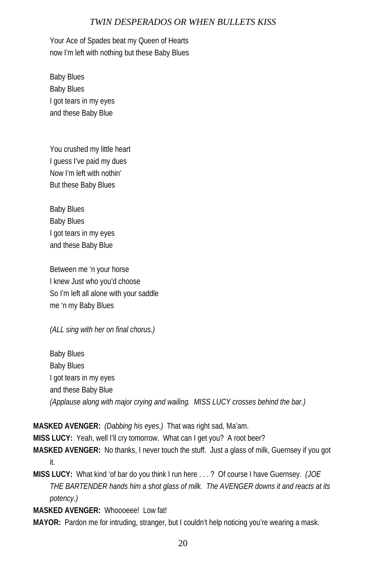Your Ace of Spades beat my Queen of Hearts now I'm left with nothing but these Baby Blues

Baby Blues Baby Blues I got tears in my eyes and these Baby Blue

You crushed my little heart I guess I've paid my dues Now I'm left with nothin' But these Baby Blues

Baby Blues Baby Blues I got tears in my eyes and these Baby Blue

Between me 'n your horse I knew Just who you'd choose So I'm left all alone with your saddle me 'n my Baby Blues

*(ALL sing with her on final chorus.)* 

Baby Blues Baby Blues I got tears in my eyes and these Baby Blue *(Applause along with major crying and wailing. MISS LUCY crosses behind the bar.)* 

**MASKED AVENGER:** *(Dabbing his eyes.)* That was right sad, Ma'am.

**MISS LUCY:** Yeah, well I'll cry tomorrow. What can I get you? A root beer?

- **MASKED AVENGER:** No thanks, I never touch the stuff. Just a glass of milk, Guernsey if you got it.
- **MISS LUCY:** What kind 'of bar do you think I run here . . . ? Of course I have Guernsey. *(JOE THE BARTENDER hands him a shot glass of milk. The AVENGER downs it and reacts at its potency.)*

**MASKED AVENGER:** Whoooeee! Low fat!

**MAYOR:** Pardon me for intruding, stranger, but I couldn't help noticing you're wearing a mask.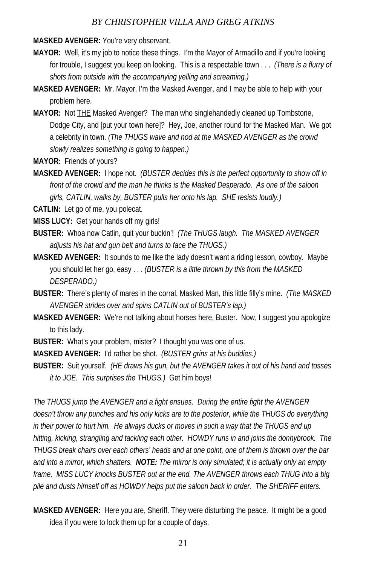**MASKED AVENGER:** You're very observant.

- **MAYOR:** Well, it's my job to notice these things. I'm the Mayor of Armadillo and if you're looking for trouble, I suggest you keep on looking. This is a respectable town . . . *(There is a flurry of shots from outside with the accompanying yelling and screaming.)*
- **MASKED AVENGER:** Mr. Mayor, I'm the Masked Avenger, and I may be able to help with your problem here.
- **MAYOR:** Not THE Masked Avenger? The man who singlehandedly cleaned up Tombstone, Dodge City, and [put your town here]? Hey, Joe, another round for the Masked Man. We got a celebrity in town. *(The THUGS wave and nod at the MASKED AVENGER as the crowd slowly realizes something is going to happen.)*
- **MAYOR:** Friends of yours?
- **MASKED AVENGER:** I hope not. *(BUSTER decides this is the perfect opportunity to show off in front of the crowd and the man he thinks is the Masked Desperado. As one of the saloon girls, CATLIN, walks by, BUSTER pulls her onto his lap. SHE resists loudly.)*

**CATLIN:** Let go of me, you polecat.

- **MISS LUCY:** Get your hands off my girls!
- **BUSTER:** Whoa now Catlin, quit your buckin'! *(The THUGS laugh. The MASKED AVENGER adjusts his hat and gun belt and turns to face the THUGS.)*
- **MASKED AVENGER:** It sounds to me like the lady doesn't want a riding lesson, cowboy. Maybe you should let her go, easy . . . *(BUSTER is a little thrown by this from the MASKED DESPERADO.)*
- **BUSTER:** There's plenty of mares in the corral, Masked Man, this little filly's mine. *(The MASKED AVENGER strides over and spins CATLIN out of BUSTER's lap.)*
- **MASKED AVENGER:** We're not talking about horses here, Buster. Now, I suggest you apologize to this lady.
- **BUSTER:** What's your problem, mister? I thought you was one of us.

**MASKED AVENGER:** I'd rather be shot. *(BUSTER grins at his buddies.)*

**BUSTER:** Suit yourself. *(HE draws his gun, but the AVENGER takes it out of his hand and tosses it to JOE. This surprises the THUGS.)* Get him boys!

*The THUGS jump the AVENGER and a fight ensues. During the entire fight the AVENGER*  doesn't throw any punches and his only kicks are to the posterior, while the THUGS do everything *in their power to hurt him. He always ducks or moves in such a way that the THUGS end up hitting, kicking, strangling and tackling each other. HOWDY runs in and joins the donnybrook. The THUGS break chairs over each others' heads and at one point, one of them is thrown over the bar and into a mirror, which shatters. NOTE: The mirror is only simulated; it is actually only an empty frame. MISS LUCY knocks BUSTER out at the end. The AVENGER throws each THUG into a big pile and dusts himself off as HOWDY helps put the saloon back in order. The SHERIFF enters.* 

**MASKED AVENGER:** Here you are, Sheriff. They were disturbing the peace. It might be a good idea if you were to lock them up for a couple of days.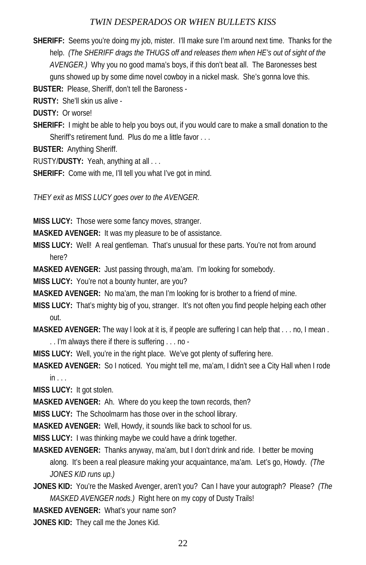**SHERIFF:** Seems you're doing my job, mister. I'll make sure I'm around next time. Thanks for the help. *(The SHERIFF drags the THUGS off and releases them when HE's out of sight of the AVENGER.)* Why you no good mama's boys, if this don't beat all. The Baronesses best guns showed up by some dime novel cowboy in a nickel mask. She's gonna love this.

**BUSTER:** Please, Sheriff, don't tell the Baroness -

**RUSTY:** She'll skin us alive -

**DUSTY:** Or worse!

**SHERIFF:** I might be able to help you boys out, if you would care to make a small donation to the Sheriff's retirement fund. Plus do me a little favor ...

**BUSTER:** Anything Sheriff.

RUSTY/**DUSTY:** Yeah, anything at all . . .

SHERIFF: Come with me, I'll tell you what I've got in mind.

*THEY exit as MISS LUCY goes over to the AVENGER.* 

**MISS LUCY:** Those were some fancy moves, stranger.

**MASKED AVENGER:** It was my pleasure to be of assistance.

**MISS LUCY:** Well! A real gentleman. That's unusual for these parts. You're not from around here?

**MASKED AVENGER:** Just passing through, ma'am. I'm looking for somebody.

**MISS LUCY:** You're not a bounty hunter, are you?

**MASKED AVENGER:** No ma'am, the man I'm looking for is brother to a friend of mine.

- **MISS LUCY:** That's mighty big of you, stranger. It's not often you find people helping each other out.
- **MASKED AVENGER:** The way l look at it is, if people are suffering I can help that . . . no, I mean . . . I'm always there if there is suffering . . . no -

**MISS LUCY:** Well, you're in the right place. We've got plenty of suffering here.

**MASKED AVENGER:** So I noticed. You might tell me, ma'am, I didn't see a City Hall when I rode  $in$ ...

**MISS LUCY:** It got stolen.

**MASKED AVENGER:** Ah. Where do you keep the town records, then?

**MISS LUCY:** The Schoolmarm has those over in the school library.

**MASKED AVENGER:** Well, Howdy, it sounds like back to school for us.

**MISS LUCY:** I was thinking maybe we could have a drink together.

- **MASKED AVENGER:** Thanks anyway, ma'am, but I don't drink and ride. I better be moving along. It's been a real pleasure making your acquaintance, ma'am. Let's go, Howdy. *(The JONES KID runs up.)*
- **JONES KID:** You're the Masked Avenger, aren't you? Can I have your autograph? Please? *(The MASKED AVENGER nods.)* Right here on my copy of Dusty Trails!

**MASKED AVENGER:** What's your name son?

**JONES KID:** They call me the Jones Kid.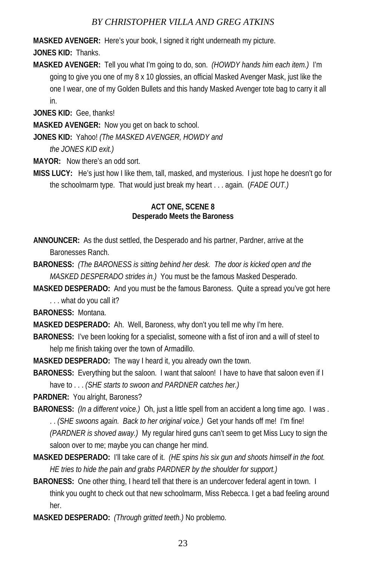**MASKED AVENGER:** Here's your book, I signed it right underneath my picture.

**JONES KID:** Thanks.

**MASKED AVENGER:** Tell you what I'm going to do, son. *(HOWDY hands him each item.)* I'm going to give you one of my 8 x 10 glossies, an official Masked Avenger Mask, just like the one I wear, one of my Golden Bullets and this handy Masked Avenger tote bag to carry it all in.

**JONES KID:** Gee, thanks!

**MASKED AVENGER:** Now you get on back to school.

**JONES KID:** Yahoo! *(The MASKED AVENGER, HOWDY and* 

 *the JONES KID exit.)*

**MAYOR:** Now there's an odd sort.

**MISS LUCY:** He's just how I like them, tall, masked, and mysterious. I just hope he doesn't go for the schoolmarm type. That would just break my heart . . . again. (*FADE OUT.)*

#### **ACT ONE, SCENE 8 Desperado Meets the Baroness**

- **ANNOUNCER:** As the dust settled, the Desperado and his partner, Pardner, arrive at the Baronesses Ranch.
- **BARONESS:** *(The BARONESS is sitting behind her desk. The door is kicked open and the MASKED DESPERADO strides in.)* You must be the famous Masked Desperado.
- **MASKED DESPERADO:** And you must be the famous Baroness. Quite a spread you've got here . . . what do you call it?

**BARONESS:** Montana.

**MASKED DESPERADO:** Ah. Well, Baroness, why don't you tell me why I'm here.

- **BARONESS:** I've been looking for a specialist, someone with a fist of iron and a will of steel to help me finish taking over the town of Armadillo.
- **MASKED DESPERADO:** The way I heard it, you already own the town.
- **BARONESS:** Everything but the saloon. I want that saloon! I have to have that saloon even if I have to . . . *(SHE starts to swoon and PARDNER catches her.)*

**PARDNER:** You alright, Baroness?

- **BARONESS:** *(In a different voice.)* Oh, just a little spell from an accident a long time ago. I was . . . *(SHE swoons again. Back to her original voice.)* Get your hands off me! I'm fine! *(PARDNER is shoved away.)* My regular hired guns can't seem to get Miss Lucy to sign the saloon over to me; maybe you can change her mind.
- **MASKED DESPERADO:** I'll take care of it. *(HE spins his six gun and shoots himself in the foot. HE tries to hide the pain and grabs PARDNER by the shoulder for support.)*
- **BARONESS:** One other thing, I heard tell that there is an undercover federal agent in town. I think you ought to check out that new schoolmarm, Miss Rebecca. I get a bad feeling around her.
- **MASKED DESPERADO:** *(Through gritted teeth.)* No problemo.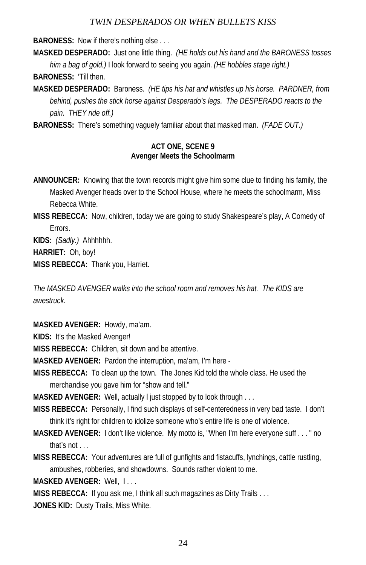**BARONESS:** Now if there's nothing else . . .

**MASKED DESPERADO:** Just one little thing. *(HE holds out his hand and the BARONESS tosses him a bag of gold.)* I look forward to seeing you again. *(HE hobbles stage right.)* **BARONESS:** 'Till then.

**MASKED DESPERADO:** Baroness. *(HE tips his hat and whistles up his horse. PARDNER, from behind, pushes the stick horse against Desperado's legs. The DESPERADO reacts to the pain. THEY ride off.)* 

**BARONESS:** There's something vaguely familiar about that masked man. *(FADE OUT.)*

#### **ACT ONE, SCENE 9 Avenger Meets the Schoolmarm**

**ANNOUNCER:** Knowing that the town records might give him some clue to finding his family, the Masked Avenger heads over to the School House, where he meets the schoolmarm, Miss Rebecca White.

**MISS REBECCA:** Now, children, today we are going to study Shakespeare's play, A Comedy of Errors.

**KIDS:** *(Sadly.)* Ahhhhhh.

**HARRIET:** Oh, boy!

**MISS REBECCA:** Thank you, Harriet.

*The MASKED AVENGER walks into the school room and removes his hat. The KIDS are awestruck.* 

**MASKED AVENGER:** Howdy, ma'am.

**KIDS:** It's the Masked Avenger!

**MISS REBECCA:** Children, sit down and be attentive.

**MASKED AVENGER:** Pardon the interruption, ma'am, I'm here -

**MISS REBECCA:** To clean up the town. The Jones Kid told the whole class. He used the merchandise you gave him for "show and tell."

**MASKED AVENGER:** Well, actually l just stopped by to look through . . .

**MISS REBECCA:** Personally, I find such displays of self-centeredness in very bad taste. I don't think it's right for children to idolize someone who's entire life is one of violence.

- **MASKED AVENGER:** I don't like violence. My motto is, "When I'm here everyone suff . . . " no that's not . . .
- **MISS REBECCA:** Your adventures are full of gunfights and fistacuffs, lynchings, cattle rustling, ambushes, robberies, and showdowns. Sounds rather violent to me.

**MASKED AVENGER:** Well, I . . .

**MISS REBECCA:** If you ask me, I think all such magazines as Dirty Trails . . .

**JONES KID:** Dusty Trails, Miss White.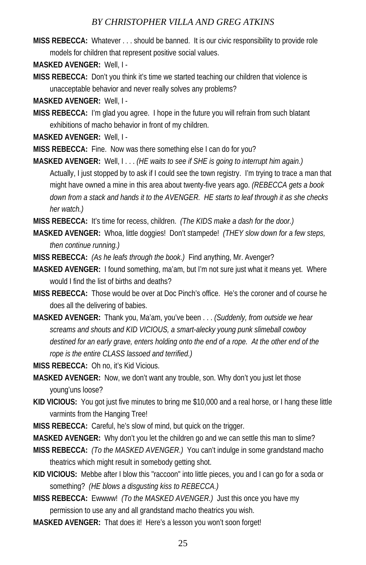- **MISS REBECCA:** Whatever . . . should be banned. It is our civic responsibility to provide role models for children that represent positive social values.
- **MASKED AVENGER:** Well, I -
- **MISS REBECCA:** Don't you think it's time we started teaching our children that violence is unacceptable behavior and never really solves any problems?

**MASKED AVENGER:** Well, I -

**MISS REBECCA:** I'm glad you agree. I hope in the future you will refrain from such blatant exhibitions of macho behavior in front of my children.

**MASKED AVENGER:** Well, I -

**MISS REBECCA:** Fine. Now was there something else I can do for you?

**MASKED AVENGER:** Well, I . . . *(HE waits to see if SHE is going to interrupt him again.)* Actually, I just stopped by to ask if I could see the town registry. I'm trying to trace a man that might have owned a mine in this area about twenty-five years ago. *(REBECCA gets a book down from a stack and hands it to the AVENGER. HE starts to leaf through it as she checks her watch.)*

**MISS REBECCA:** It's time for recess, children. *(The KIDS make a dash for the door.)*

- **MASKED AVENGER:** Whoa, little doggies! Don't stampede! *(THEY slow down for a few steps, then continue running.)*
- **MISS REBECCA:** *(As he leafs through the book.)* Find anything, Mr. Avenger?
- **MASKED AVENGER:** I found something, ma'am, but I'm not sure just what it means yet. Where would I find the list of births and deaths?
- **MISS REBECCA:** Those would be over at Doc Pinch's office. He's the coroner and of course he does all the delivering of babies.
- **MASKED AVENGER:** Thank you, Ma'am, you've been . . . *(Suddenly, from outside we hear screams and shouts and KID VICIOUS, a smart-alecky young punk slimeball cowboy destined for an early grave, enters holding onto the end of a rope. At the other end of the rope is the entire CLASS lassoed and terrified.)*
- **MISS REBECCA:** Oh no, it's Kid Vicious.
- **MASKED AVENGER:** Now, we don't want any trouble, son. Why don't you just let those young'uns loose?
- **KID VICIOUS:** You got just five minutes to bring me \$10,000 and a real horse, or I hang these little varmints from the Hanging Tree!
- **MISS REBECCA:** Careful, he's slow of mind, but quick on the trigger.

**MASKED AVENGER:** Why don't you let the children go and we can settle this man to slime?

- **MISS REBECCA:** *(To the MASKED AVENGER.)* You can't indulge in some grandstand macho theatrics which might result in somebody getting shot.
- **KID VICIOUS:** Mebbe after I blow this "raccoon" into little pieces, you and I can go for a soda or something? *(HE blows a disgusting kiss to REBECCA.)*
- **MISS REBECCA:** Ewwww! *(To the MASKED AVENGER.)* Just this once you have my permission to use any and all grandstand macho theatrics you wish.
- **MASKED AVENGER:** That does it! Here's a lesson you won't soon forget!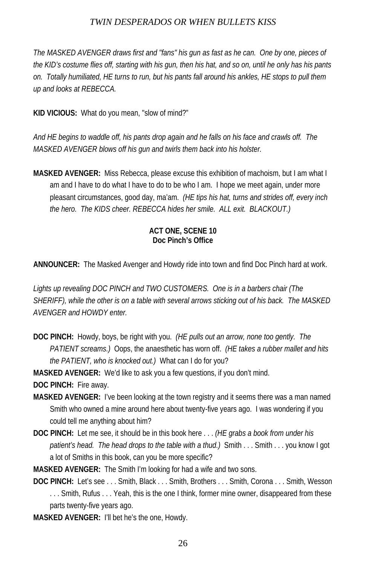*The MASKED AVENGER draws first and "fans" his gun as fast as he can. One by one, pieces of the KID's costume flies off, starting with his gun, then his hat, and so on, until he only has his pants on. Totally humiliated, HE turns to run, but his pants fall around his ankles, HE stops to pull them up and looks at REBECCA.* 

**KID VICIOUS:** What do you mean, "slow of mind?"

*And HE begins to waddle off, his pants drop again and he falls on his face and crawls off. The MASKED AVENGER blows off his gun and twirls them back into his holster.* 

**MASKED AVENGER:** Miss Rebecca, please excuse this exhibition of machoism, but I am what I am and I have to do what I have to do to be who I am. I hope we meet again, under more pleasant circumstances, good day, ma'am. *(HE tips his hat, turns and strides off, every inch the hero. The KIDS cheer. REBECCA hides her smile. ALL exit. BLACKOUT.)*

#### **ACT ONE, SCENE 10 Doc Pinch's Office**

**ANNOUNCER:** The Masked Avenger and Howdy ride into town and find Doc Pinch hard at work.

*Lights up revealing DOC PINCH and TWO CUSTOMERS. One is in a barbers chair (The SHERIFF), while the other is on a table with several arrows sticking out of his back. The MASKED AVENGER and HOWDY enter.* 

**DOC PINCH:** Howdy, boys, be right with you. *(HE pulls out an arrow, none too gently. The PATIENT screams.)* Oops, the anaesthetic has worn off. *(HE takes a rubber mallet and hits the PATIENT, who is knocked out.)* What can I do for you?

**MASKED AVENGER:** We'd like to ask you a few questions, if you don't mind.

**DOC PINCH:** Fire away.

- **MASKED AVENGER:** I've been looking at the town registry and it seems there was a man named Smith who owned a mine around here about twenty-five years ago. I was wondering if you could tell me anything about him?
- **DOC PINCH:** Let me see, it should be in this book here . . . *(HE grabs a book from under his patient's head. The head drops to the table with a thud.)* Smith . . . Smith . . . you know I got a lot of Smiths in this book, can you be more specific?

**MASKED AVENGER:** The Smith I'm looking for had a wife and two sons.

- **DOC PINCH:** Let's see . . . Smith, Black . . . Smith, Brothers . . . Smith, Corona . . . Smith, Wesson ... Smith, Rufus ... Yeah, this is the one I think, former mine owner, disappeared from these parts twenty-five years ago.
- **MASKED AVENGER:** I'll bet he's the one, Howdy.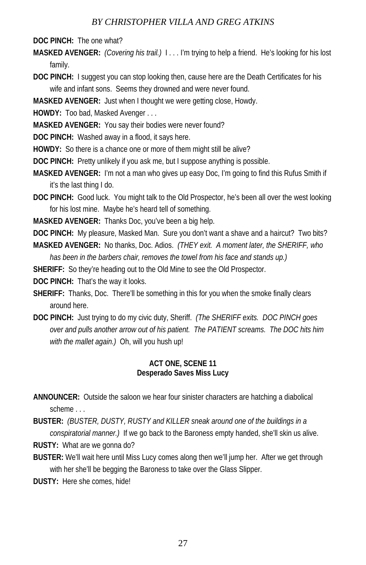**DOC PINCH:** The one what?

**MASKED AVENGER:** *(Covering his trail.)* I . . . I'm trying to help a friend. He's looking for his lost family.

**DOC PINCH:** I suggest you can stop looking then, cause here are the Death Certificates for his wife and infant sons. Seems they drowned and were never found.

**MASKED AVENGER:** Just when I thought we were getting close, Howdy.

**HOWDY:** Too bad, Masked Avenger . . .

**MASKED AVENGER:** You say their bodies were never found?

**DOC PINCH:** Washed away in a flood, it says here.

**HOWDY:** So there is a chance one or more of them might still be alive?

**DOC PINCH:** Pretty unlikely if you ask me, but I suppose anything is possible.

**MASKED AVENGER:** I'm not a man who gives up easy Doc, I'm going to find this Rufus Smith if it's the last thing I do.

**DOC PINCH:** Good luck. You might talk to the Old Prospector, he's been all over the west looking for his lost mine. Maybe he's heard tell of something.

**MASKED AVENGER:** Thanks Doc, you've been a big help.

**DOC PINCH:** My pleasure, Masked Man. Sure you don't want a shave and a haircut? Two bits? **MASKED AVENGER:** No thanks, Doc. Adios. *(THEY exit. A moment later, the SHERIFF, who* 

*has been in the barbers chair, removes the towel from his face and stands up.)* 

**SHERIFF:** So they're heading out to the Old Mine to see the Old Prospector.

**DOC PINCH:** That's the way it looks.

- **SHERIFF:** Thanks, Doc. There'll be something in this for you when the smoke finally clears around here.
- **DOC PINCH:** Just trying to do my civic duty, Sheriff. *(The SHERIFF exits. DOC PINCH goes over and pulls another arrow out of his patient. The PATIENT screams. The DOC hits him with the mallet again.)* Oh, will you hush up!

#### **ACT ONE, SCENE 11 Desperado Saves Miss Lucy**

**ANNOUNCER:** Outside the saloon we hear four sinister characters are hatching a diabolical scheme . . .

**BUSTER:** *(BUSTER, DUSTY, RUSTY and KILLER sneak around one of the buildings in a conspiratorial manner.)* If we go back to the Baroness empty handed, she'll skin us alive. **RUSTY:** What are we gonna do?

**BUSTER:** We'll wait here until Miss Lucy comes along then we'll jump her. After we get through with her she'll be begging the Baroness to take over the Glass Slipper.

**DUSTY:** Here she comes, hide!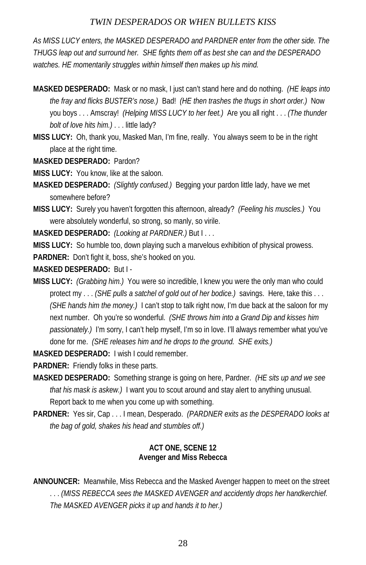*As MISS LUCY enters, the MASKED DESPERADO and PARDNER enter from the other side. The THUGS leap out and surround her. SHE fights them off as best she can and the DESPERADO*  watches. HE momentarily struggles within himself then makes up his mind.

- **MASKED DESPERADO:** Mask or no mask, I just can't stand here and do nothing. *(HE leaps into the fray and flicks BUSTER's nose.)* Bad! *(HE then trashes the thugs in short order.)* Now you boys . . . Amscray! *(Helping MISS LUCY to her feet.)* Are you all right . . . *(The thunder bolt of love hits him.)* . . . little lady?
- **MISS LUCY:** Oh, thank you, Masked Man, I'm fine, really. You always seem to be in the right place at the right time.

**MASKED DESPERADO:** Pardon?

**MISS LUCY:** You know, like at the saloon.

- **MASKED DESPERADO:** *(Slightly confused.)* Begging your pardon little lady, have we met somewhere before?
- **MISS LUCY:** Surely you haven't forgotten this afternoon, already? *(Feeling his muscles.)* You were absolutely wonderful, so strong, so manly, so virile.

**MASKED DESPERADO:** *(Looking at PARDNER.)* But I . . .

**MISS LUCY:** So humble too, down playing such a marvelous exhibition of physical prowess.

**PARDNER:** Don't fight it, boss, she's hooked on you.

**MASKED DESPERADO:** But I -

**MISS LUCY:** *(Grabbing him.)* You were so incredible, I knew you were the only man who could protect my . . . *(SHE pulls a satchel of gold out of her bodice.)* savings. Here, take this . . . *(SHE hands him the money.)* I can't stop to talk right now, I'm due back at the saloon for my next number. Oh you're so wonderful. *(SHE throws him into a Grand Dip and kisses him passionately.)* I'm sorry, I can't help myself, I'm so in love. I'll always remember what you've done for me. *(SHE releases him and he drops to the ground. SHE exits.)*

**MASKED DESPERADO:** I wish I could remember.

**PARDNER:** Friendly folks in these parts.

- **MASKED DESPERADO:** Something strange is going on here, Pardner. *(HE sits up and we see that his mask is askew.)* I want you to scout around and stay alert to anything unusual. Report back to me when you come up with something.
- **PARDNER:** Yes sir, Cap . . . I mean, Desperado. *(PARDNER exits as the DESPERADO looks at the bag of gold, shakes his head and stumbles off.)*

#### **ACT ONE, SCENE 12 Avenger and Miss Rebecca**

**ANNOUNCER:** Meanwhile, Miss Rebecca and the Masked Avenger happen to meet on the street . . . *(MISS REBECCA sees the MASKED AVENGER and accidently drops her handkerchief. The MASKED AVENGER picks it up and hands it to her.)*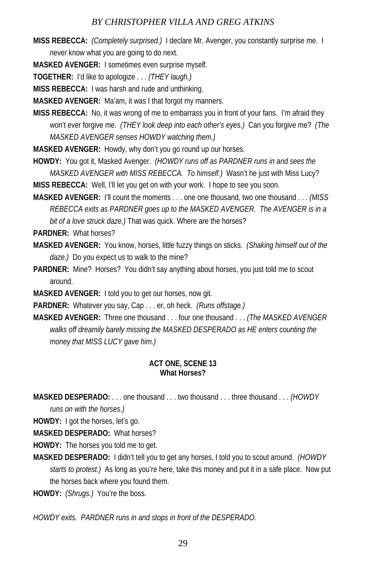**MISS REBECCA:** *(Completely surprised.)* I declare Mr. Avenger, you constantly surprise me. I never know what you are going to do next.

**MASKED AVENGER:** I sometimes even surprise myself.

**TOGETHER:** I'd like to apologize . . . *(THEY laugh.)*

**MISS REBECCA:** I was harsh and rude and unthinking.

**MASKED AVENGER:** Ma'am, it was I that forgot my manners.

**MISS REBECCA:** No, it was wrong of me to embarrass you in front of your fans. I'm afraid they won't ever forgive me. *(THEY look deep into each other's eyes.)* Can you forgive me? *(The MASKED AVENGER senses HOWDY watching them.)* 

**MASKED AVENGER:** Howdy, why don't you go round up our horses.

**HOWDY:** You got it, Masked Avenger. *(HOWDY runs off as PARDNER runs in and sees the MASKED AVENGER with MISS REBECCA. To himself.)* Wasn't he just with Miss Lucy?

**MISS REBECCA:** Well, I'll let you get on with your work. I hope to see you soon.

**MASKED AVENGER:** I'll count the moments . . . one one thousand, two one thousand . . . *(MISS REBECCA exits as PARDNER goes up to the MASKED AVENGER. The AVENGER is in a bit of a love struck daze.)* That was quick. Where are the horses?

**PARDNER:** What horses?

- **MASKED AVENGER:** You know, horses, little fuzzy things on sticks. *(Shaking himself out of the daze.)* Do you expect us to walk to the mine?
- **PARDNER:** Mine? Horses? You didn't say anything about horses, you just told me to scout around.
- **MASKED AVENGER:** I told you to get our horses, now git.
- **PARDNER:** Whatever you say, Cap . . . er, oh heck. *(Runs offstage.)*

**MASKED AVENGER:** Three one thousand . . . four one thousand . . . *(The MASKED AVENGER walks off dreamily barely missing the MASKED DESPERADO as HE enters counting the money that MISS LUCY gave him.)* 

#### **ACT ONE, SCENE 13 What Horses?**

**MASKED DESPERADO:** . . . one thousand . . . two thousand . . . three thousand . . . *(HOWDY* 

*runs on with the horses.)*

**HOWDY:** I got the horses, let's go.

**MASKED DESPERADO:** What horses?

**HOWDY:** The horses you told me to get.

**MASKED DESPERADO:** I didn't tell you to get any horses, I told you to scout around. *(HOWDY starts to protest.)* As long as you're here, take this money and put it in a safe place. Now put the horses back where you found them.

**HOWDY:** *(Shrugs.)* You're the boss.

*HOWDY exits. PARDNER runs in and stops in front of the DESPERADO.*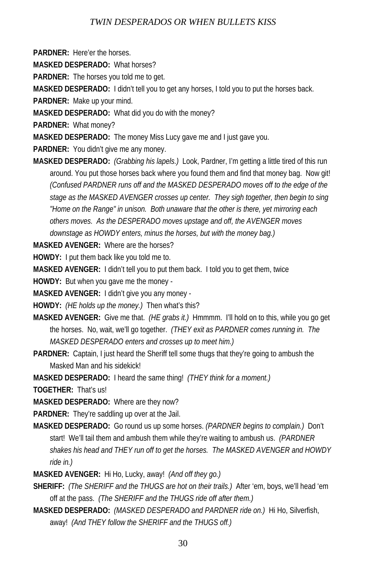**PARDNER:** Here'er the horses.

**MASKED DESPERADO:** What horses?

**PARDNER:** The horses you told me to get.

**MASKED DESPERADO:** I didn't tell you to get any horses, I told you to put the horses back.

**PARDNER:** Make up your mind.

**MASKED DESPERADO:** What did you do with the money?

**PARDNER:** What money?

**MASKED DESPERADO:** The money Miss Lucy gave me and I just gave you.

**PARDNER:** You didn't give me any money.

**MASKED DESPERADO:** *(Grabbing his lapels.)* Look, Pardner, I'm getting a little tired of this run around. You put those horses back where you found them and find that money bag. Now git! *(Confused PARDNER runs off and the MASKED DESPERADO moves off to the edge of the stage as the MASKED AVENGER crosses up center. They sigh together, then begin to sing "Home on the Range" in unison. Both unaware that the other is there, yet mirroring each others moves. As the DESPERADO moves upstage and off, the AVENGER moves downstage as HOWDY enters, minus the horses, but with the money bag.)* 

**MASKED AVENGER:** Where are the horses?

**HOWDY:** I put them back like you told me to.

**MASKED AVENGER:** I didn't tell you to put them back. I told you to get them, twice

**HOWDY:** But when you gave me the money -

**MASKED AVENGER:** I didn't give you any money -

**HOWDY:** *(HE holds up the money.)* Then what's this?

**MASKED AVENGER:** Give me that. *(HE grabs it.)* Hmmmm. I'll hold on to this, while you go get the horses. No, wait, we'll go together. *(THEY exit as PARDNER comes running in. The MASKED DESPERADO enters and crosses up to meet him.)*

**PARDNER:** Captain, I just heard the Sheriff tell some thugs that they're going to ambush the Masked Man and his sidekick!

**MASKED DESPERADO:** I heard the same thing! *(THEY think for a moment.)*

**TOGETHER:** That's us!

**MASKED DESPERADO:** Where are they now?

**PARDNER:** They're saddling up over at the Jail.

**MASKED DESPERADO:** Go round us up some horses. *(PARDNER begins to complain.)* Don't start! We'll tail them and ambush them while they're waiting to ambush us. *(PARDNER shakes his head and THEY run off to get the horses. The MASKED AVENGER and HOWDY ride in.)* 

**MASKED AVENGER:** Hi Ho, Lucky, away! *(And off they go.)*

**SHERIFF:** *(The SHERIFF and the THUGS are hot on their trails.)* After 'em, boys, we'll head 'em off at the pass. *(The SHERIFF and the THUGS ride off after them.)*

**MASKED DESPERADO:** *(MASKED DESPERADO and PARDNER ride on.)* Hi Ho, Silverfish, away! *(And THEY follow the SHERIFF and the THUGS off.)*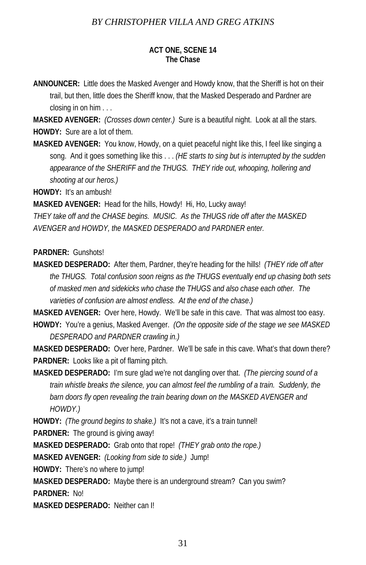#### **ACT ONE, SCENE 14 The Chase**

**ANNOUNCER:** Little does the Masked Avenger and Howdy know, that the Sheriff is hot on their trail, but then, little does the Sheriff know, that the Masked Desperado and Pardner are closing in on him . . .

**MASKED AVENGER:** *(Crosses down center.)* Sure is a beautiful night. Look at all the stars. **HOWDY:** Sure are a lot of them.

**MASKED AVENGER:** You know, Howdy, on a quiet peaceful night like this, I feel like singing a song. And it goes something like this . . . *(HE starts to sing but is interrupted by the sudden appearance of the SHERIFF and the THUGS. THEY ride out, whooping, hollering and shooting at our heros.)* 

**HOWDY:** It's an ambush!

**MASKED AVENGER:** Head for the hills, Howdy! Hi, Ho, Lucky away!

*THEY take off and the CHASE begins. MUSIC. As the THUGS ride off after the MASKED AVENGER and HOWDY, the MASKED DESPERADO and PARDNER enter.* 

**PARDNER:** Gunshots!

**MASKED DESPERADO:** After them, Pardner, they're heading for the hills! *(THEY ride off after the THUGS. Total confusion soon reigns as the THUGS eventually end up chasing both sets of masked men and sidekicks who chase the THUGS and also chase each other. The varieties of confusion are almost endless. At the end of the chase.)* 

**MASKED AVENGER:** Over here, Howdy. We'll be safe in this cave. That was almost too easy. **HOWDY:** You're a genius, Masked Avenger. *(On the opposite side of the stage we see MASKED DESPERADO and PARDNER crawling in.)* 

**MASKED DESPERADO:** Over here, Pardner. We'll be safe in this cave. What's that down there? **PARDNER:** Looks like a pit of flaming pitch.

**MASKED DESPERADO:** I'm sure glad we're not dangling over that. *(The piercing sound of a train whistle breaks the silence, you can almost feel the rumbling of a train. Suddenly, the barn doors fly open revealing the train bearing down on the MASKED AVENGER and HOWDY.)*

**HOWDY:** *(The ground begins to shake.)* It's not a cave, it's a train tunnel!

**PARDNER:** The ground is giving away!

**MASKED DESPERADO:** Grab onto that rope! *(THEY grab onto the rope.)*

**MASKED AVENGER:** *(Looking from side to side.)* Jump!

**HOWDY:** There's no where to jump!

**MASKED DESPERADO:** Maybe there is an underground stream? Can you swim?

**PARDNER:** No!

**MASKED DESPERADO:** Neither can I!